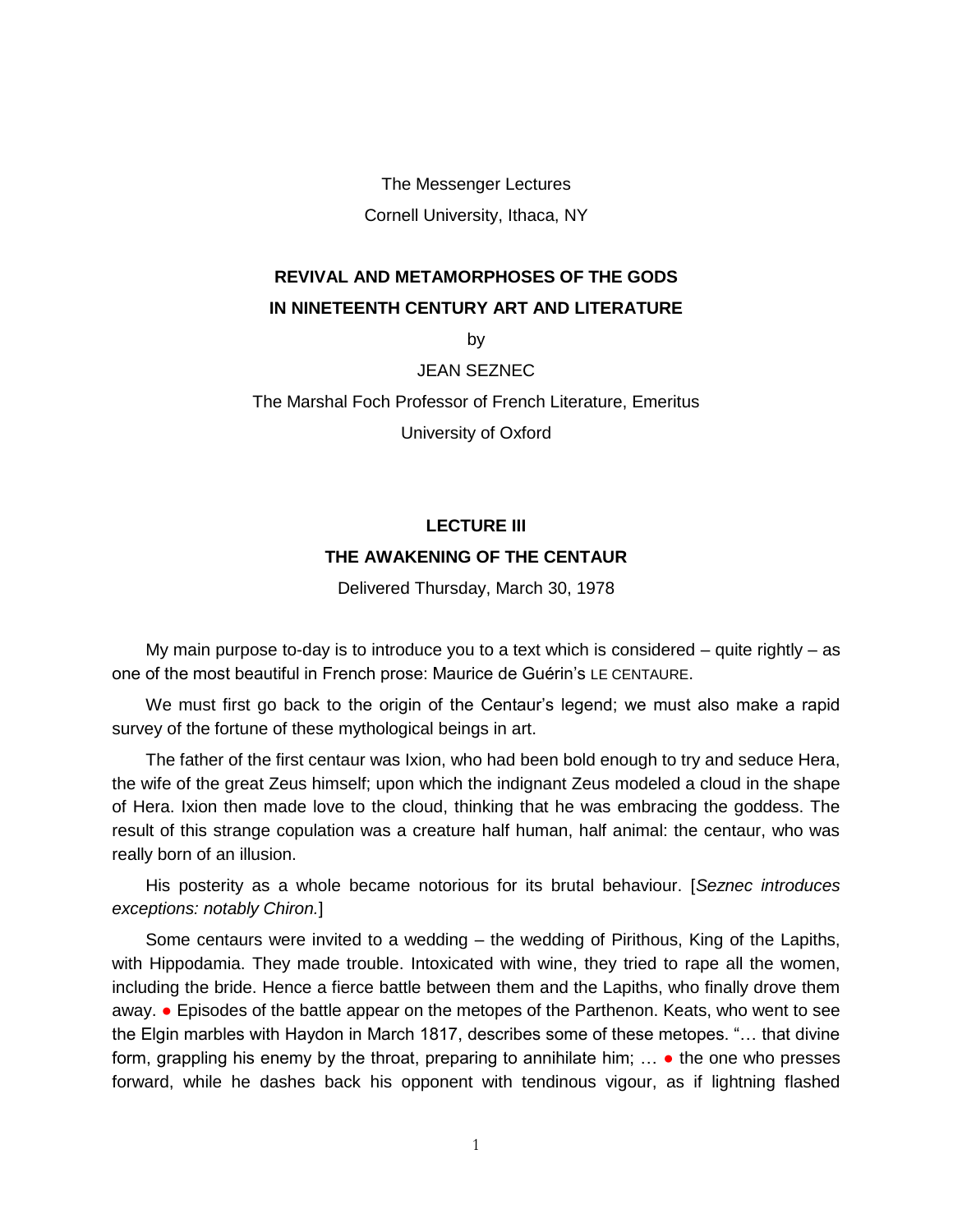The Messenger Lectures Cornell University, Ithaca, NY

## **REVIVAL AND METAMORPHOSES OF THE GODS IN NINETEENTH CENTURY ART AND LITERATURE**

by

JEAN SEZNEC

The Marshal Foch Professor of French Literature, Emeritus

University of Oxford

## **LECTURE III THE AWAKENING OF THE CENTAUR**

Delivered Thursday, March 30, 1978

My main purpose to-day is to introduce you to a text which is considered – quite rightly – as one of the most beautiful in French prose: Maurice de Guérin's LE CENTAURE.

We must first go back to the origin of the Centaur's legend; we must also make a rapid survey of the fortune of these mythological beings in art.

The father of the first centaur was Ixion, who had been bold enough to try and seduce Hera, the wife of the great Zeus himself; upon which the indignant Zeus modeled a cloud in the shape of Hera. Ixion then made love to the cloud, thinking that he was embracing the goddess. The result of this strange copulation was a creature half human, half animal: the centaur, who was really born of an illusion.

His posterity as a whole became notorious for its brutal behaviour. [*Seznec introduces exceptions: notably Chiron.*]

Some centaurs were invited to a wedding – the wedding of Pirithous, King of the Lapiths, with Hippodamia. They made trouble. Intoxicated with wine, they tried to rape all the women, including the bride. Hence a fierce battle between them and the Lapiths, who finally drove them away. ● Episodes of the battle appear on the metopes of the Parthenon. Keats, who went to see the Elgin marbles with Haydon in March 1817, describes some of these metopes. "… that divine form, grappling his enemy by the throat, preparing to annihilate him;  $\ldots$  the one who presses forward, while he dashes back his opponent with tendinous vigour, as if lightning flashed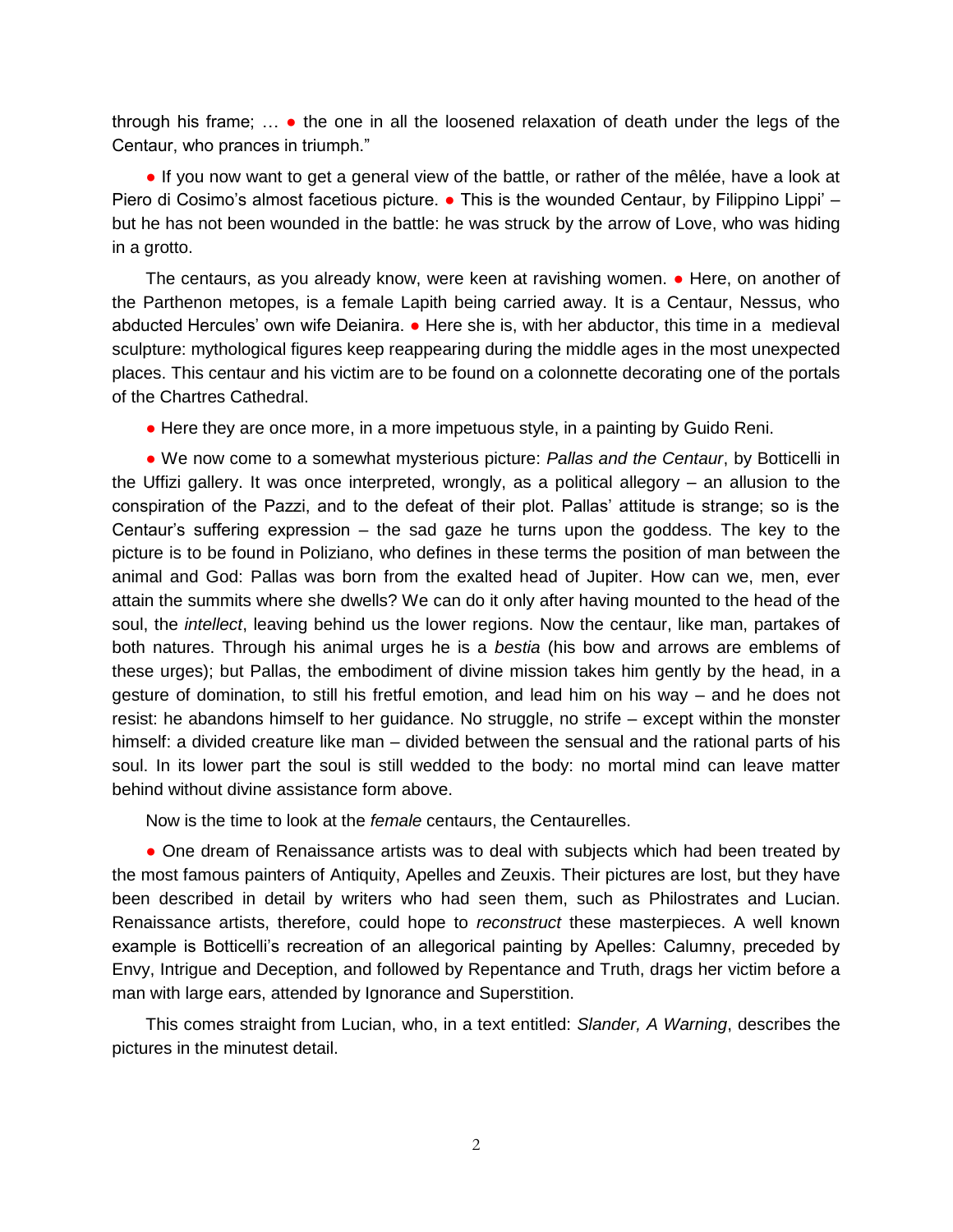through his frame;  $\ldots$  • the one in all the loosened relaxation of death under the legs of the Centaur, who prances in triumph."

● If you now want to get a general view of the battle, or rather of the mêlée, have a look at Piero di Cosimo's almost facetious picture.  $\bullet$  This is the wounded Centaur, by Filippino Lippi' – but he has not been wounded in the battle: he was struck by the arrow of Love, who was hiding in a grotto.

The centaurs, as you already know, were keen at ravishing women. ● Here, on another of the Parthenon metopes, is a female Lapith being carried away. It is a Centaur, Nessus, who abducted Hercules' own wife Deianira. • Here she is, with her abductor, this time in a medieval sculpture: mythological figures keep reappearing during the middle ages in the most unexpected places. This centaur and his victim are to be found on a colonnette decorating one of the portals of the Chartres Cathedral.

● Here they are once more, in a more impetuous style, in a painting by Guido Reni.

● We now come to a somewhat mysterious picture: *Pallas and the Centaur*, by Botticelli in the Uffizi gallery. It was once interpreted, wrongly, as a political allegory – an allusion to the conspiration of the Pazzi, and to the defeat of their plot. Pallas' attitude is strange; so is the Centaur's suffering expression – the sad gaze he turns upon the goddess. The key to the picture is to be found in Poliziano, who defines in these terms the position of man between the animal and God: Pallas was born from the exalted head of Jupiter. How can we, men, ever attain the summits where she dwells? We can do it only after having mounted to the head of the soul, the *intellect*, leaving behind us the lower regions. Now the centaur, like man, partakes of both natures. Through his animal urges he is a *bestia* (his bow and arrows are emblems of these urges); but Pallas, the embodiment of divine mission takes him gently by the head, in a gesture of domination, to still his fretful emotion, and lead him on his way – and he does not resist: he abandons himself to her guidance. No struggle, no strife – except within the monster himself: a divided creature like man – divided between the sensual and the rational parts of his soul. In its lower part the soul is still wedded to the body: no mortal mind can leave matter behind without divine assistance form above.

Now is the time to look at the *female* centaurs, the Centaurelles.

• One dream of Renaissance artists was to deal with subjects which had been treated by the most famous painters of Antiquity, Apelles and Zeuxis. Their pictures are lost, but they have been described in detail by writers who had seen them, such as Philostrates and Lucian. Renaissance artists, therefore, could hope to *reconstruct* these masterpieces. A well known example is Botticelli's recreation of an allegorical painting by Apelles: Calumny, preceded by Envy, Intrigue and Deception, and followed by Repentance and Truth, drags her victim before a man with large ears, attended by Ignorance and Superstition.

This comes straight from Lucian, who, in a text entitled: *Slander, A Warning*, describes the pictures in the minutest detail.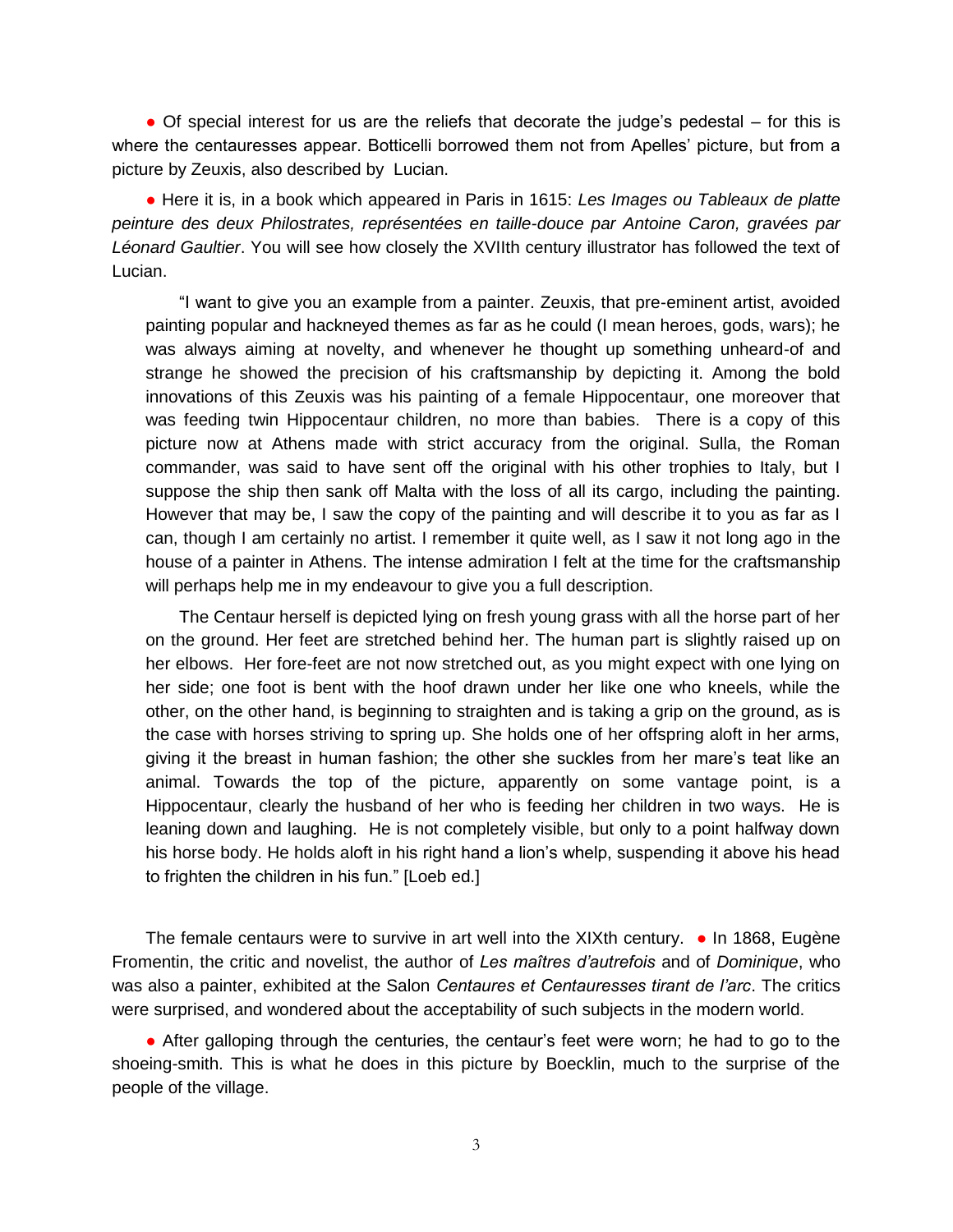• Of special interest for us are the reliefs that decorate the judge's pedestal – for this is where the centauresses appear. Botticelli borrowed them not from Apelles' picture, but from a picture by Zeuxis, also described by Lucian.

● Here it is, in a book which appeared in Paris in 1615: *Les Images ou Tableaux de platte peinture des deux Philostrates, représentées en taille-douce par Antoine Caron, gravées par Léonard Gaultier*. You will see how closely the XVIIth century illustrator has followed the text of Lucian.

"I want to give you an example from a painter. Zeuxis, that pre-eminent artist, avoided painting popular and hackneyed themes as far as he could (I mean heroes, gods, wars); he was always aiming at novelty, and whenever he thought up something unheard-of and strange he showed the precision of his craftsmanship by depicting it. Among the bold innovations of this Zeuxis was his painting of a female Hippocentaur, one moreover that was feeding twin Hippocentaur children, no more than babies. There is a copy of this picture now at Athens made with strict accuracy from the original. Sulla, the Roman commander, was said to have sent off the original with his other trophies to Italy, but I suppose the ship then sank off Malta with the loss of all its cargo, including the painting. However that may be, I saw the copy of the painting and will describe it to you as far as I can, though I am certainly no artist. I remember it quite well, as I saw it not long ago in the house of a painter in Athens. The intense admiration I felt at the time for the craftsmanship will perhaps help me in my endeavour to give you a full description.

The Centaur herself is depicted lying on fresh young grass with all the horse part of her on the ground. Her feet are stretched behind her. The human part is slightly raised up on her elbows. Her fore-feet are not now stretched out, as you might expect with one lying on her side; one foot is bent with the hoof drawn under her like one who kneels, while the other, on the other hand, is beginning to straighten and is taking a grip on the ground, as is the case with horses striving to spring up. She holds one of her offspring aloft in her arms, giving it the breast in human fashion; the other she suckles from her mare's teat like an animal. Towards the top of the picture, apparently on some vantage point, is a Hippocentaur, clearly the husband of her who is feeding her children in two ways. He is leaning down and laughing. He is not completely visible, but only to a point halfway down his horse body. He holds aloft in his right hand a lion's whelp, suspending it above his head to frighten the children in his fun." [Loeb ed.]

The female centaurs were to survive in art well into the XIXth century.  $\bullet$  In 1868, Eugène Fromentin, the critic and novelist, the author of *Les maîtres d'autrefois* and of *Dominique*, who was also a painter, exhibited at the Salon *Centaures et Centauresses tirant de l'arc*. The critics were surprised, and wondered about the acceptability of such subjects in the modern world.

• After galloping through the centuries, the centaur's feet were worn; he had to go to the shoeing-smith. This is what he does in this picture by Boecklin, much to the surprise of the people of the village.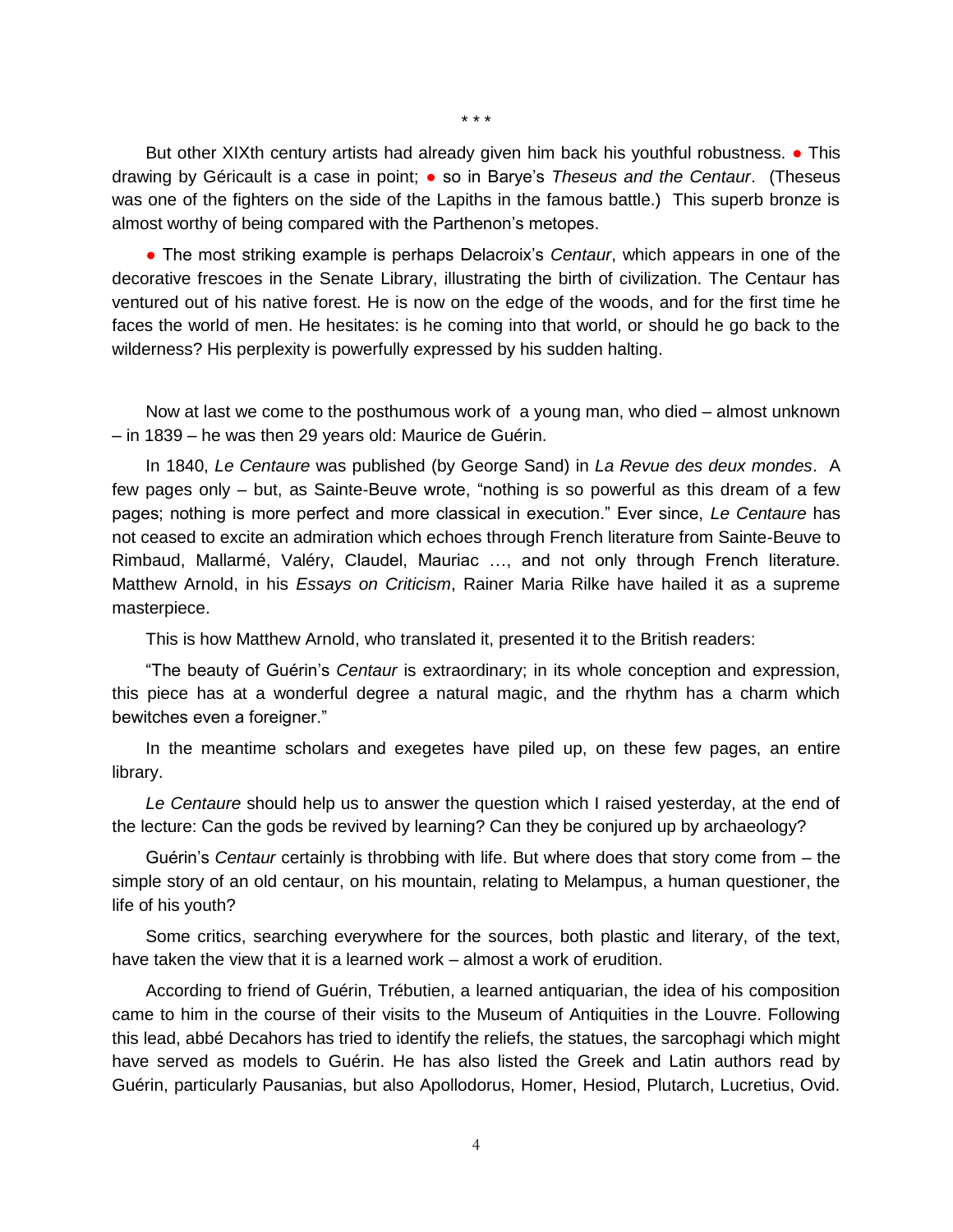\* \* \*

But other XIXth century artists had already given him back his youthful robustness. • This drawing by Géricault is a case in point; ● so in Barye's *Theseus and the Centaur*. (Theseus was one of the fighters on the side of the Lapiths in the famous battle.) This superb bronze is almost worthy of being compared with the Parthenon's metopes.

● The most striking example is perhaps Delacroix's *Centaur*, which appears in one of the decorative frescoes in the Senate Library, illustrating the birth of civilization. The Centaur has ventured out of his native forest. He is now on the edge of the woods, and for the first time he faces the world of men. He hesitates: is he coming into that world, or should he go back to the wilderness? His perplexity is powerfully expressed by his sudden halting.

Now at last we come to the posthumous work of a young man, who died – almost unknown – in 1839 – he was then 29 years old: Maurice de Guérin.

In 1840, *Le Centaure* was published (by George Sand) in *La Revue des deux mondes*. A few pages only – but, as Sainte-Beuve wrote, "nothing is so powerful as this dream of a few pages; nothing is more perfect and more classical in execution." Ever since, *Le Centaure* has not ceased to excite an admiration which echoes through French literature from Sainte-Beuve to Rimbaud, Mallarmé, Valéry, Claudel, Mauriac …, and not only through French literature. Matthew Arnold, in his *Essays on Criticism*, Rainer Maria Rilke have hailed it as a supreme masterpiece.

This is how Matthew Arnold, who translated it, presented it to the British readers:

"The beauty of Guérin's *Centaur* is extraordinary; in its whole conception and expression, this piece has at a wonderful degree a natural magic, and the rhythm has a charm which bewitches even a foreigner."

In the meantime scholars and exegetes have piled up, on these few pages, an entire library.

*Le Centaure* should help us to answer the question which I raised yesterday, at the end of the lecture: Can the gods be revived by learning? Can they be conjured up by archaeology?

Guérin's *Centaur* certainly is throbbing with life. But where does that story come from – the simple story of an old centaur, on his mountain, relating to Melampus, a human questioner, the life of his youth?

Some critics, searching everywhere for the sources, both plastic and literary, of the text, have taken the view that it is a learned work – almost a work of erudition.

According to friend of Guérin, Trébutien, a learned antiquarian, the idea of his composition came to him in the course of their visits to the Museum of Antiquities in the Louvre. Following this lead, abbé Decahors has tried to identify the reliefs, the statues, the sarcophagi which might have served as models to Guérin. He has also listed the Greek and Latin authors read by Guérin, particularly Pausanias, but also Apollodorus, Homer, Hesiod, Plutarch, Lucretius, Ovid.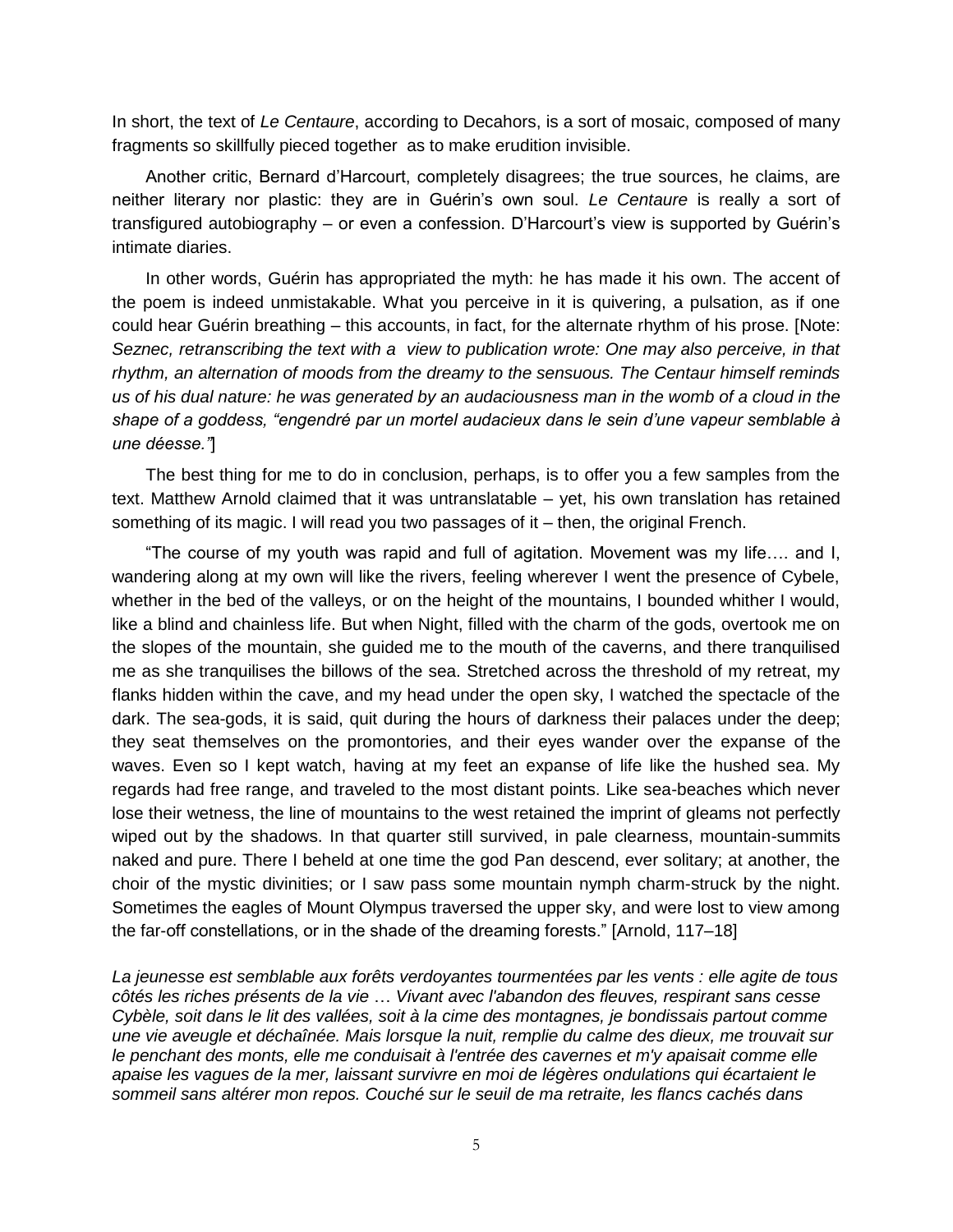In short, the text of *Le Centaure*, according to Decahors, is a sort of mosaic, composed of many fragments so skillfully pieced together as to make erudition invisible.

Another critic, Bernard d'Harcourt, completely disagrees; the true sources, he claims, are neither literary nor plastic: they are in Guérin's own soul. *Le Centaure* is really a sort of transfigured autobiography – or even a confession. D'Harcourt's view is supported by Guérin's intimate diaries.

In other words, Guérin has appropriated the myth: he has made it his own. The accent of the poem is indeed unmistakable. What you perceive in it is quivering, a pulsation, as if one could hear Guérin breathing – this accounts, in fact, for the alternate rhythm of his prose. [Note: *Seznec, retranscribing the text with a view to publication wrote: One may also perceive, in that rhythm, an alternation of moods from the dreamy to the sensuous. The Centaur himself reminds us of his dual nature: he was generated by an audaciousness man in the womb of a cloud in the shape of a goddess, "engendré par un mortel audacieux dans le sein d'une vapeur semblable à une déesse."*]

The best thing for me to do in conclusion, perhaps, is to offer you a few samples from the text. Matthew Arnold claimed that it was untranslatable – yet, his own translation has retained something of its magic. I will read you two passages of it – then, the original French.

"The course of my youth was rapid and full of agitation. Movement was my life…. and I, wandering along at my own will like the rivers, feeling wherever I went the presence of Cybele, whether in the bed of the valleys, or on the height of the mountains, I bounded whither I would, like a blind and chainless life. But when Night, filled with the charm of the gods, overtook me on the slopes of the mountain, she guided me to the mouth of the caverns, and there tranquilised me as she tranquilises the billows of the sea. Stretched across the threshold of my retreat, my flanks hidden within the cave, and my head under the open sky, I watched the spectacle of the dark. The sea-gods, it is said, quit during the hours of darkness their palaces under the deep; they seat themselves on the promontories, and their eyes wander over the expanse of the waves. Even so I kept watch, having at my feet an expanse of life like the hushed sea. My regards had free range, and traveled to the most distant points. Like sea-beaches which never lose their wetness, the line of mountains to the west retained the imprint of gleams not perfectly wiped out by the shadows. In that quarter still survived, in pale clearness, mountain-summits naked and pure. There I beheld at one time the god Pan descend, ever solitary; at another, the choir of the mystic divinities; or I saw pass some mountain nymph charm-struck by the night. Sometimes the eagles of Mount Olympus traversed the upper sky, and were lost to view among the far-off constellations, or in the shade of the dreaming forests." [Arnold, 117–18]

*La jeunesse est semblable aux forêts verdoyantes tourmentées par les vents : elle agite de tous côtés les riches présents de la vie* … *Vivant avec l'abandon des fleuves, respirant sans cesse Cybèle, soit dans le lit des vallées, soit à la cime des montagnes, je bondissais partout comme une vie aveugle et déchaînée. Mais lorsque la nuit, remplie du calme des dieux, me trouvait sur le penchant des monts, elle me conduisait à l'entrée des cavernes et m'y apaisait comme elle apaise les vagues de la mer, laissant survivre en moi de légères ondulations qui écartaient le sommeil sans altérer mon repos. Couché sur le seuil de ma retraite, les flancs cachés dans*